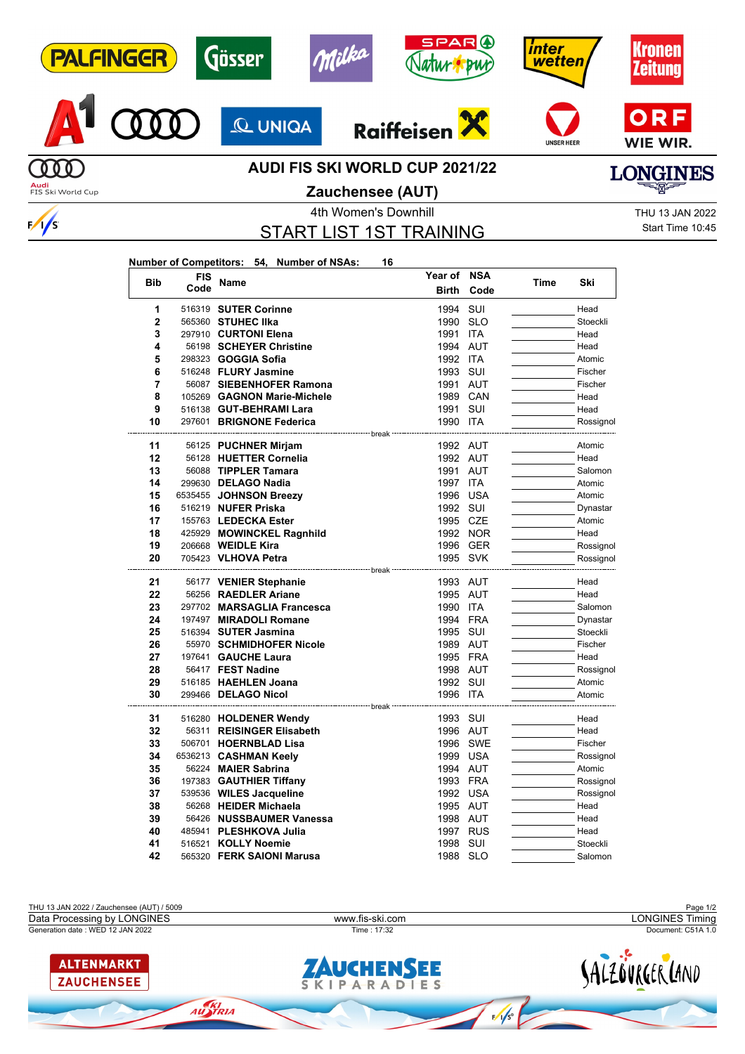



 $\sqrt{s}$